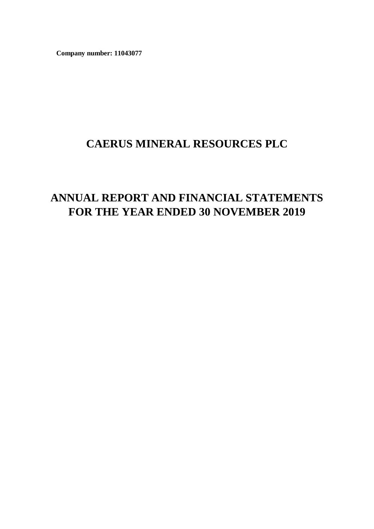**Company number: 11043077**

# **CAERUS MINERAL RESOURCES PLC**

# **ANNUAL REPORT AND FINANCIAL STATEMENTS FOR THE YEAR ENDED 30 NOVEMBER 2019**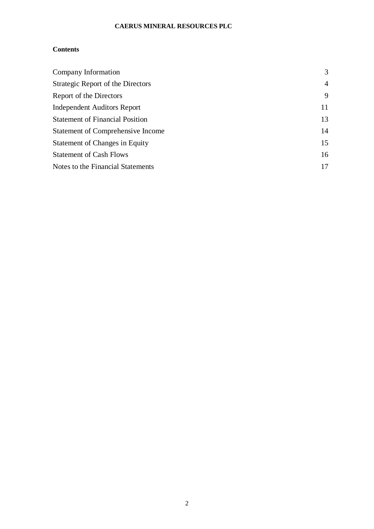# **CAERUS MINERAL RESOURCES PLC**

# **Contents**

| Company Information                      | 3              |
|------------------------------------------|----------------|
| Strategic Report of the Directors        | $\overline{4}$ |
| Report of the Directors                  | 9              |
| <b>Independent Auditors Report</b>       | 11             |
| <b>Statement of Financial Position</b>   | 13             |
| <b>Statement of Comprehensive Income</b> | 14             |
| <b>Statement of Changes in Equity</b>    | 15             |
| <b>Statement of Cash Flows</b>           | 16             |
| Notes to the Financial Statements        | 17             |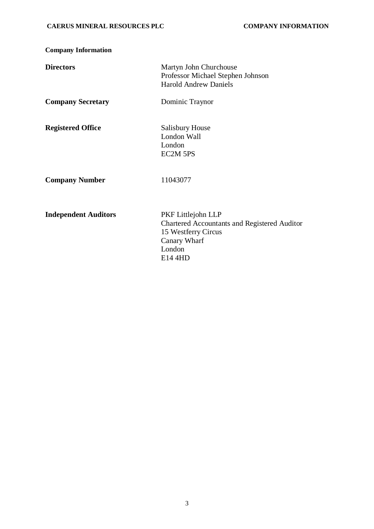<span id="page-2-0"></span>

| <b>Company Information</b>                        |                                                                                                                                       |
|---------------------------------------------------|---------------------------------------------------------------------------------------------------------------------------------------|
| <b>Directors</b>                                  | Martyn John Churchouse<br>Professor Michael Stephen Johnson<br><b>Harold Andrew Daniels</b>                                           |
| <b>Company Secretary</b>                          | Dominic Traynor                                                                                                                       |
| <b>Registered Office</b><br><b>Company Number</b> | <b>Salisbury House</b><br>London Wall<br>London<br>EC2M 5PS<br>11043077                                                               |
| <b>Independent Auditors</b>                       | PKF Littlejohn LLP<br><b>Chartered Accountants and Registered Auditor</b><br>15 Westferry Circus<br>Canary Wharf<br>London<br>E14 4HD |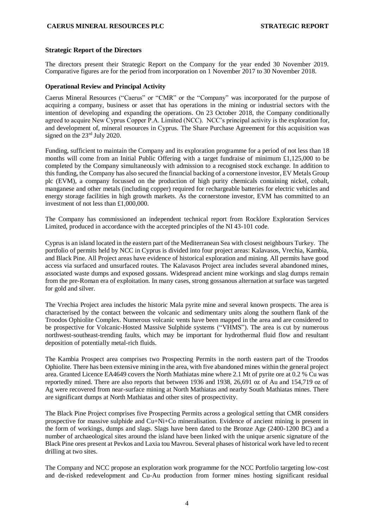#### <span id="page-3-0"></span>**Strategic Report of the Directors**

The directors present their Strategic Report on the Company for the year ended 30 November 2019. Comparative figures are for the period from incorporation on 1 November 2017 to 30 November 2018.

#### **Operational Review and Principal Activity**

Caerus Mineral Resources ("Caerus" or "CMR" or the "Company" was incorporated for the purpose of acquiring a company, business or asset that has operations in the mining or industrial sectors with the intention of developing and expanding the operations. On 23 October 2018, the Company conditionally agreed to acquire New Cyprus Copper P.A. Limited (NCC). NCC's principal activity is the exploration for, and development of, mineral resources in Cyprus. The Share Purchase Agreement for this acquisition was signed on the 23<sup>rd</sup> July 2020.

Funding, sufficient to maintain the Company and its exploration programme for a period of not less than 18 months will come from an Initial Public Offering with a target fundraise of minimum £1,125,000 to be completed by the Company simultaneously with admission to a recognised stock exchange. In addition to this funding, the Company has also secured the financial backing of a cornerstone investor, EV Metals Group plc (EVM), a company focussed on the production of high purity chemicals containing nickel, cobalt, manganese and other metals (including copper) required for rechargeable batteries for electric vehicles and energy storage facilities in high growth markets. As the cornerstone investor, EVM has committed to an investment of not less than £1,000,000.

The Company has commissioned an independent technical report from Rocklore Exploration Services Limited, produced in accordance with the accepted principles of the NI 43-101 code.

Cyprus is an island located in the eastern part of the Mediterranean Sea with closest neighbours Turkey. The portfolio of permits held by NCC in Cyprus is divided into four project areas: Kalavasos, Vrechia, Kambia, and Black Pine. All Project areas have evidence of historical exploration and mining. All permits have good access via surfaced and unsurfaced routes. The Kalavasos Project area includes several abandoned mines, associated waste dumps and exposed gossans. Widespread ancient mine workings and slag dumps remain from the pre-Roman era of exploitation. In many cases, strong gossanous alternation at surface was targeted for gold and silver.

The Vrechia Project area includes the historic Mala pyrite mine and several known prospects. The area is characterised by the contact between the volcanic and sedimentary units along the southern flank of the Troodos Ophiolite Complex. Numerous volcanic vents have been mapped in the area and are considered to be prospective for Volcanic-Hosted Massive Sulphide systems ("VHMS"). The area is cut by numerous northwest-southeast-trending faults, which may be important for hydrothermal fluid flow and resultant deposition of potentially metal-rich fluids.

The Kambia Prospect area comprises two Prospecting Permits in the north eastern part of the Troodos Ophiolite. There has been extensive mining in the area, with five abandoned mines within the general project area. Granted Licence EA4649 covers the North Mathiatas mine where 2.1 Mt of pyrite ore at 0.2 % Cu was reportedly mined. There are also reports that between 1936 and 1938, 26,691 oz of Au and 154,719 oz of Ag were recovered from near-surface mining at North Mathiatas and nearby South Mathiatas mines. There are significant dumps at North Mathiatas and other sites of prospectivity.

The Black Pine Project comprises five Prospecting Permits across a geological setting that CMR considers prospective for massive sulphide and Cu+Ni+Co mineralisation. Evidence of ancient mining is present in the form of workings, dumps and slags. Slags have been dated to the Bronze Age (2400-1200 BC) and a number of archaeological sites around the island have been linked with the unique arsenic signature of the Black Pine ores present at Pevkos and Laxia tou Mavrou. Several phases of historical work have led to recent drilling at two sites.

The Company and NCC propose an exploration work programme for the NCC Portfolio targeting low-cost and de-risked redevelopment and Cu-Au production from former mines hosting significant residual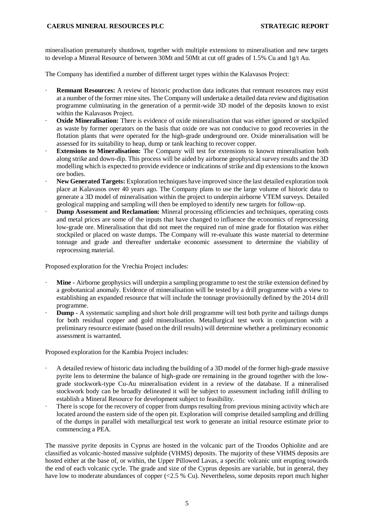#### **CAERUS MINERAL RESOURCES PLC STRATEGIC REPORT**

mineralisation prematurely shutdown, together with multiple extensions to mineralisation and new targets to develop a Mineral Resource of between 30Mt and 50Mt at cut off grades of 1.5% Cu and 1g/t Au.

The Company has identified a number of different target types within the Kalavasos Project:

- **Remnant Resources:** A review of historic production data indicates that remnant resources may exist at a number of the former mine sites. The Company will undertake a detailed data review and digitisation programme culminating in the generation of a permit-wide 3D model of the deposits known to exist within the Kalavasos Project.
- **Oxide Mineralisation:** There is evidence of oxide mineralisation that was either ignored or stockpiled as waste by former operators on the basis that oxide ore was not conducive to good recoveries in the flotation plants that were operated for the high-grade underground ore. Oxide mineralisation will be assessed for its suitability to heap, dump or tank leaching to recover copper.
- **Extensions to Mineralisation:** The Company will test for extensions to known mineralisation both along strike and down-dip. This process will be aided by airborne geophysical survey results and the 3D modelling which is expected to provide evidence or indications of strike and dip extensions to the known ore bodies.
- · **New Generated Targets:** Exploration techniques have improved since the last detailed exploration took place at Kalavasos over 40 years ago. The Company plans to use the large volume of historic data to generate a 3D model of mineralisation within the project to underpin airborne VTEM surveys. Detailed geological mapping and sampling will then be employed to identify new targets for follow-up.
- **Dump Assessment and Reclamation:** Mineral processing efficiencies and techniques, operating costs and metal prices are some of the inputs that have changed to influence the economics of reprocessing low-grade ore. Mineralisation that did not meet the required run of mine grade for flotation was either stockpiled or placed on waste dumps. The Company will re-evaluate this waste material to determine tonnage and grade and thereafter undertake economic assessment to determine the viability of reprocessing material.

Proposed exploration for the Vrechia Project includes:

- **Mine** Airborne geophysics will underpin a sampling programme to test the strike extension defined by a geobotanical anomaly. Evidence of mineralisation will be tested by a drill programme with a view to establishing an expanded resource that will include the tonnage provisionally defined by the 2014 drill programme.
- **Dump** A systematic sampling and short hole drill programme will test both pyrite and tailings dumps for both residual copper and gold mineralisation. Metallurgical test work in conjunction with a preliminary resource estimate (based on the drill results) will determine whether a preliminary economic assessment is warranted.

Proposed exploration for the Kambia Project includes:

- · A detailed review of historic data including the building of a 3D model of the former high-grade massive pyrite lens to determine the balance of high-grade ore remaining in the ground together with the lowgrade stockwork-type Cu-Au mineralisation evident in a review of the database. If a mineralised stockwork body can be broadly delineated it will be subject to assessment including infill drilling to establish a Mineral Resource for development subject to feasibility.
- There is scope for the recovery of copper from dumps resulting from previous mining activity which are located around the eastern side of the open pit. Exploration will comprise detailed sampling and drilling of the dumps in parallel with metallurgical test work to generate an initial resource estimate prior to commencing a PEA.

The massive pyrite deposits in Cyprus are hosted in the volcanic part of the Troodos Ophiolite and are classified as volcanic-hosted massive sulphide (VHMS) deposits. The majority of these VHMS deposits are hosted either at the base of, or within, the Upper Pillowed Lavas, a specific volcanic unit erupting towards the end of each volcanic cycle. The grade and size of the Cyprus deposits are variable, but in general, they have low to moderate abundances of copper (<2.5 % Cu). Nevertheless, some deposits report much higher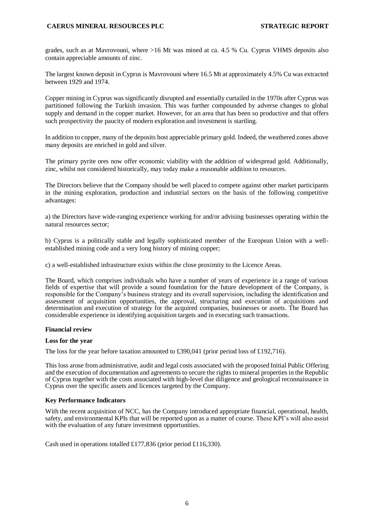grades, such as at Mavrovouni, where >16 Mt was mined at ca. 4.5 % Cu. Cyprus VHMS deposits also contain appreciable amounts of zinc.

The largest known deposit in Cyprus is Mavrovouni where 16.5 Mt at approximately 4.5% Cu was extracted between 1929 and 1974.

Copper mining in Cyprus was significantly disrupted and essentially curtailed in the 1970s after Cyprus was partitioned following the Turkish invasion. This was further compounded by adverse changes to global supply and demand in the copper market. However, for an area that has been so productive and that offers such prospectivity the paucity of modern exploration and investment is startling.

In addition to copper, many of the deposits host appreciable primary gold. Indeed, the weathered zones above many deposits are enriched in gold and silver.

The primary pyrite ores now offer economic viability with the addition of widespread gold. Additionally, zinc, whilst not considered historically, may today make a reasonable addition to resources.

The Directors believe that the Company should be well placed to compete against other market participants in the mining exploration, production and industrial sectors on the basis of the following competitive advantages:

a) the Directors have wide-ranging experience working for and/or advising businesses operating within the natural resources sector;

b) Cyprus is a politically stable and legally sophisticated member of the European Union with a wellestablished mining code and a very long history of mining copper;

c) a well-established infrastructure exists within the close proximity to the Licence Areas.

The Board, which comprises individuals who have a number of years of experience in a range of various fields of expertise that will provide a sound foundation for the future development of the Company, is responsible for the Company's business strategy and its overall supervision, including the identification and assessment of acquisition opportunities, the approval, structuring and execution of acquisitions and determination and execution of strategy for the acquired companies, businesses or assets. The Board has considerable experience in identifying acquisition targets and in executing such transactions.

#### **Financial review**

#### **Loss for the year**

The loss for the year before taxation amounted to £390,041 (prior period loss of £192,716).

This loss arose from administrative, audit and legal costs associated with the proposed Initial Public Offering and the execution of documentation and agreements to secure the rights to mineral properties in the Republic of Cyprus together with the costs associated with high-level due diligence and geological reconnaissance in Cyprus over the specific assets and licences targeted by the Company.

#### **Key Performance Indicators**

With the recent acquisition of NCC, has the Company introduced appropriate financial, operational, health, safety, and environmental KPIs that will be reported upon as a matter of course. These KPI's will also assist with the evaluation of any future investment opportunities.

Cash used in operations totalled £177,836 (prior period £116,330).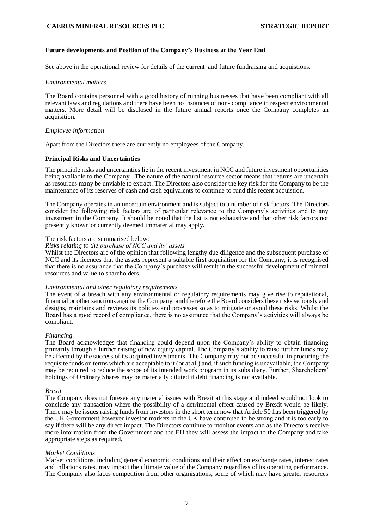#### **CAERUS MINERAL RESOURCES PLC STRATEGIC REPORT**

#### **Future developments and Position of the Company's Business at the Year End**

See above in the operational review for details of the current and future fundraising and acquistions.

#### *Environmental matters*

The Board contains personnel with a good history of running businesses that have been compliant with all relevant laws and regulations and there have been no instances of non- compliance in respect environmental matters. More detail will be disclosed in the future annual reports once the Company completes an acquisition.

#### *Employee information*

Apart from the Directors there are currently no employees of the Company.

#### **Principal Risks and Uncertainties**

The principle risks and uncertainties lie in the recent investment in NCC and future investment opportunities being available to the Company. The nature of the natural resource sector means that returns are uncertain as resources many be unviable to extract. The Directors also consider the key risk for the Company to be the maintenance of its reserves of cash and cash equivalents to continue to fund this recent acquistion.

The Company operates in an uncertain environment and is subject to a number of risk factors. The Directors consider the following risk factors are of particular relevance to the Company's activities and to any investment in the Company. It should be noted that the list is not exhaustive and that other risk factors not presently known or currently deemed immaterial may apply.

#### The risk factors are summarised below:

#### *Risks relating to the purchase of NCC and its' assets*

Whilst the Directors are of the opinion that following lengthy due diligence and the subsequent purchase of NCC and its licences that the assets represent a suitable first acquisition for the Company, it is recognised that there is no assurance that the Company's purchase will result in the successful development of mineral resources and value to shareholders.

#### *Environmental and other regulatory requirements*

The event of a breach with any environmental or regulatory requirements may give rise to reputational, financial or other sanctions against the Company, and therefore the Board considers these risks seriously and designs, maintains and reviews its policies and processes so as to mitigate or avoid these risks. Whilst the Board has a good record of compliance, there is no assurance that the Company's activities will always be compliant.

#### *Financing*

The Board acknowledges that financing could depend upon the Company's ability to obtain financing primarily through a further raising of new equity capital. The Company's ability to raise further funds may be affected by the success of its acquired investments. The Company may not be successful in procuring the requisite funds on terms which are acceptable to it (or at all) and, if such funding is unavailable, the Company may be required to reduce the scope of its intended work program in its subsidiary. Further, Shareholders' holdings of Ordinary Shares may be materially diluted if debt financing is not available.

#### *Brexit*

The Company does not foresee any material issues with Brexit at this stage and indeed would not look to conclude any transaction where the possibility of a detrimental effect caused by Brexit would be likely. There may be issues raising funds from investors in the short term now that Article 50 has been triggered by the UK Government however investor markets in the UK have continued to be strong and it is too early to say if there will be any direct impact. The Directors continue to monitor events and as the Directors receive more information from the Government and the EU they will assess the impact to the Company and take appropriate steps as required.

#### *Market Conditions*

Market conditions, including general economic conditions and their effect on exchange rates, interest rates and inflations rates, may impact the ultimate value of the Company regardless of its operating performance. The Company also faces competition from other organisations, some of which may have greater resources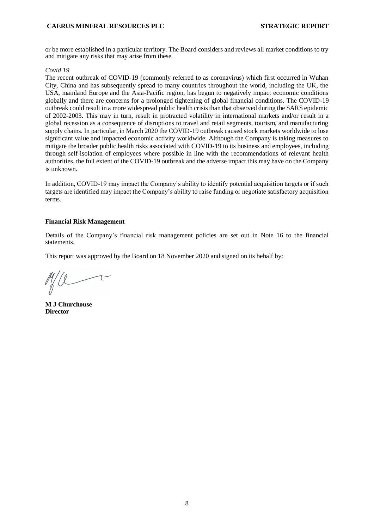#### **CAERUS MINERAL RESOURCES PLC STRATEGIC REPORT**

or be more established in a particular territory. The Board considers and reviews all market conditions to try and mitigate any risks that may arise from these.

#### *Covid 19*

The recent outbreak of COVID-19 (commonly referred to as coronavirus) which first occurred in Wuhan City, China and has subsequently spread to many countries throughout the world, including the UK, the USA, mainland Europe and the Asia-Pacific region, has begun to negatively impact economic conditions globally and there are concerns for a prolonged tightening of global financial conditions. The COVID-19 outbreak could result in a more widespread public health crisis than that observed during the SARS epidemic of 2002-2003. This may in turn, result in protracted volatility in international markets and/or result in a global recession as a consequence of disruptions to travel and retail segments, tourism, and manufacturing supply chains. In particular, in March 2020 the COVID-19 outbreak caused stock markets worldwide to lose significant value and impacted economic activity worldwide. Although the Company is taking measures to mitigate the broader public health risks associated with COVID-19 to its business and employees, including through self-isolation of employees where possible in line with the recommendations of relevant health authorities, the full extent of the COVID-19 outbreak and the adverse impact this may have on the Company is unknown.

In addition, COVID-19 may impact the Company's ability to identify potential acquisition targets or if such targets are identified may impact the Company's ability to raise funding or negotiate satisfactory acquisition terms.

#### **Financial Risk Management**

Details of the Company's financial risk management policies are set out in Note 16 to the financial statements.

This report was approved by the Board on 18 November 2020 and signed on its behalf by:

**M J Churchouse Director**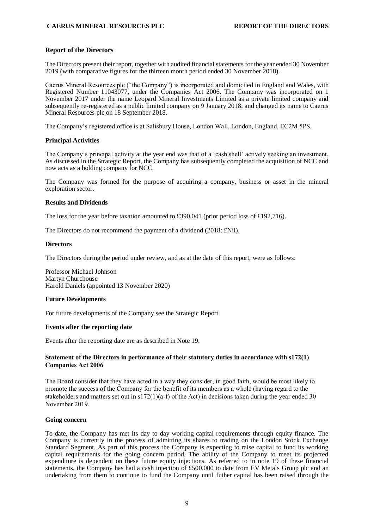#### <span id="page-8-0"></span>**Report of the Directors**

The Directors present their report, together with audited financial statements for the year ended 30 November 2019 (with comparative figures for the thirteen month period ended 30 November 2018).

Caerus Mineral Resources plc ("the Company") is incorporated and domiciled in England and Wales, with Registered Number 11043077, under the Companies Act 2006. The Company was incorporated on 1 November 2017 under the name Leopard Mineral Investments Limited as a private limited company and subsequently re-registered as a public limited company on 9 January 2018; and changed its name to Caerus Mineral Resources plc on 18 September 2018.

The Company's registered office is at Salisbury House, London Wall, London, England, EC2M 5PS.

#### **Principal Activities**

The Company's principal activity at the year end was that of a 'cash shell' actively seeking an investment. As discussed in the Strategic Report, the Company has subsequently completed the acquisition of NCC and now acts as a holding company for NCC.

The Company was formed for the purpose of acquiring a company, business or asset in the mineral exploration sector.

#### **Results and Dividends**

The loss for the year before taxation amounted to £390,041 (prior period loss of £192,716).

The Directors do not recommend the payment of a dividend (2018: £Nil).

#### **Directors**

The Directors during the period under review, and as at the date of this report, were as follows:

Professor Michael Johnson Martyn Churchouse Harold Daniels (appointed 13 November 2020)

#### **Future Developments**

For future developments of the Company see the Strategic Report.

#### **Events after the reporting date**

Events after the reporting date are as described in Note 19.

#### **Statement of the Directors in performance of their statutory duties in accordance with s172(1) Companies Act 2006**

The Board consider that they have acted in a way they consider, in good faith, would be most likely to promote the success of the Company for the benefit of its members as a whole (having regard to the stakeholders and matters set out in s172(1)(a-f) of the Act) in decisions taken during the year ended 30 November 2019.

#### **Going concern**

To date, the Company has met its day to day working capital requirements through equity finance. The Company is currently in the process of admitting its shares to trading on the London Stock Exchange Standard Segment. As part of this process the Company is expecting to raise capital to fund its working capital requirements for the going concern period. The ability of the Company to meet its projected expenditure is dependent on these future equity injections. As referred to in note 19 of these financial statements, the Company has had a cash injection of £500,000 to date from EV Metals Group plc and an undertaking from them to continue to fund the Company until futher capital has been raised through the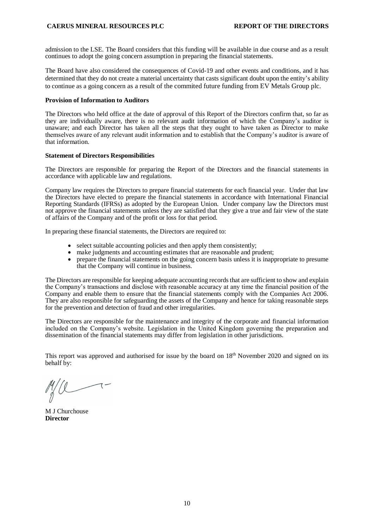admission to the LSE. The Board considers that this funding will be available in due course and as a result continues to adopt the going concern assumption in preparing the financial statements.

The Board have also considered the consequences of Covid-19 and other events and conditions, and it has determined that they do not create a material uncertainty that casts significant doubt upon the entity's ability to continue as a going concern as a result of the commited future funding from EV Metals Group plc.

#### **Provision of Information to Auditors**

The Directors who held office at the date of approval of this Report of the Directors confirm that, so far as they are individually aware, there is no relevant audit information of which the Company's auditor is unaware; and each Director has taken all the steps that they ought to have taken as Director to make themselves aware of any relevant audit information and to establish that the Company's auditor is aware of that information.

#### **Statement of Directors Responsibilities**

The Directors are responsible for preparing the Report of the Directors and the financial statements in accordance with applicable law and regulations.

Company law requires the Directors to prepare financial statements for each financial year. Under that law the Directors have elected to prepare the financial statements in accordance with International Financial Reporting Standards (IFRSs) as adopted by the European Union. Under company law the Directors must not approve the financial statements unless they are satisfied that they give a true and fair view of the state of affairs of the Company and of the profit or loss for that period.

In preparing these financial statements, the Directors are required to:

- select suitable accounting policies and then apply them consistently;
- make judgments and accounting estimates that are reasonable and prudent;
- prepare the financial statements on the going concern basis unless it is inappropriate to presume that the Company will continue in business.

The Directors are responsible for keeping adequate accounting records that are sufficient to show and explain the Company's transactions and disclose with reasonable accuracy at any time the financial position of the Company and enable them to ensure that the financial statements comply with the Companies Act 2006. They are also responsible for safeguarding the assets of the Company and hence for taking reasonable steps for the prevention and detection of fraud and other irregularities.

The Directors are responsible for the maintenance and integrity of the corporate and financial information included on the Company's website. Legislation in the United Kingdom governing the preparation and dissemination of the financial statements may differ from legislation in other jurisdictions.

This report was approved and authorised for issue by the board on 18<sup>th</sup> November 2020 and signed on its behalf by:

M J Churchouse **Director**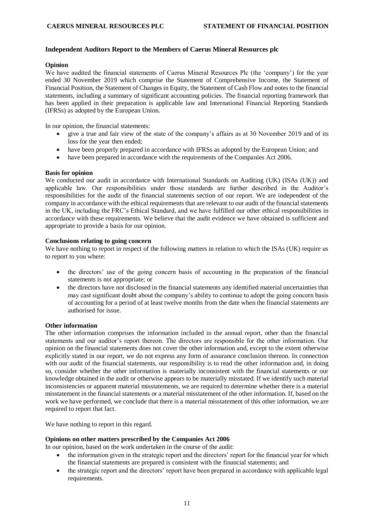#### <span id="page-10-0"></span>**Independent Auditors Report to the Members of Caerus Mineral Resources plc**

#### **Opinion**

We have audited the financial statements of Caerus Mineral Resources Plc (the 'company') for the year ended 30 November 2019 which comprise the Statement of Comprehensive Income, the Statement of Financial Position, the Statement of Changes in Equity, the Statement of Cash Flow and notes to the financial statements, including a summary of significant accounting policies. The financial reporting framework that has been applied in their preparation is applicable law and International Financial Reporting Standards (IFRSs) as adopted by the European Union.

In our opinion, the financial statements:

- give a true and fair view of the state of the company's affairs as at 30 November 2019 and of its loss for the year then ended;
- have been properly prepared in accordance with IFRSs as adopted by the European Union; and
- have been prepared in accordance with the requirements of the Companies Act 2006.

#### **Basis for opinion**

We conducted our audit in accordance with International Standards on Auditing (UK) (ISAs (UK)) and applicable law. Our responsibilities under those standards are further described in the Auditor's responsibilities for the audit of the financial statements section of our report. We are independent of the company in accordance with the ethical requirements that are relevant to our audit of the financial statements in the UK, including the FRC's Ethical Standard, and we have fulfilled our other ethical responsibilities in accordance with these requirements. We believe that the audit evidence we have obtained is sufficient and appropriate to provide a basis for our opinion.

#### **Conclusions relating to going concern**

We have nothing to report in respect of the following matters in relation to which the ISAs (UK) require us to report to you where:

- the directors' use of the going concern basis of accounting in the preparation of the financial statements is not appropriate; or
- the directors have not disclosed in the financial statements any identified material uncertainties that may cast significant doubt about the company's ability to continue to adopt the going concern basis of accounting for a period of at least twelve months from the date when the financial statements are authorised for issue.

#### **Other information**

The other information comprises the information included in the annual report, other than the financial statements and our auditor's report thereon. The directors are responsible for the other information. Our opinion on the financial statements does not cover the other information and, except to the extent otherwise explicitly stated in our report, we do not express any form of assurance conclusion thereon. In connection with our audit of the financial statements, our responsibility is to read the other information and, in doing so, consider whether the other information is materially inconsistent with the financial statements or our knowledge obtained in the audit or otherwise appears to be materially misstated. If we identify such material inconsistencies or apparent material misstatements, we are required to determine whether there is a material misstatement in the financial statements or a material misstatement of the other information. If, based on the work we have performed, we conclude that there is a material misstatement of this other information, we are required to report that fact.

We have nothing to report in this regard.

#### **Opinions on other matters prescribed by the Companies Act 2006**

In our opinion, based on the work undertaken in the course of the audit:

- the information given in the strategic report and the directors' report for the financial year for which the financial statements are prepared is consistent with the financial statements; and
- the strategic report and the directors' report have been prepared in accordance with applicable legal requirements.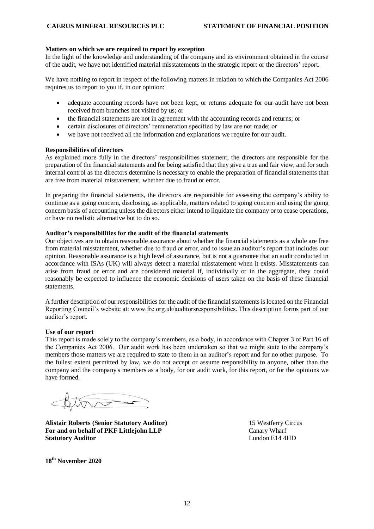#### **Matters on which we are required to report by exception**

In the light of the knowledge and understanding of the company and its environment obtained in the course of the audit, we have not identified material misstatements in the strategic report or the directors' report.

We have nothing to report in respect of the following matters in relation to which the Companies Act 2006 requires us to report to you if, in our opinion:

- adequate accounting records have not been kept, or returns adequate for our audit have not been received from branches not visited by us; or
- the financial statements are not in agreement with the accounting records and returns; or
- certain disclosures of directors' remuneration specified by law are not made; or
- we have not received all the information and explanations we require for our audit.

#### **Responsibilities of directors**

As explained more fully in the directors' responsibilities statement, the directors are responsible for the preparation of the financial statements and for being satisfied that they give a true and fair view, and for such internal control as the directors determine is necessary to enable the preparation of financial statements that are free from material misstatement, whether due to fraud or error.

In preparing the financial statements, the directors are responsible for assessing the company's ability to continue as a going concern, disclosing, as applicable, matters related to going concern and using the going concern basis of accounting unless the directors either intend to liquidate the company or to cease operations, or have no realistic alternative but to do so.

#### **Auditor's responsibilities for the audit of the financial statements**

Our objectives are to obtain reasonable assurance about whether the financial statements as a whole are free from material misstatement, whether due to fraud or error, and to issue an auditor's report that includes our opinion. Reasonable assurance is a high level of assurance, but is not a guarantee that an audit conducted in accordance with ISAs (UK) will always detect a material misstatement when it exists. Misstatements can arise from fraud or error and are considered material if, individually or in the aggregate, they could reasonably be expected to influence the economic decisions of users taken on the basis of these financial statements.

A further description of our responsibilities for the audit of the financial statements is located on the Financial Reporting Council's website at: www.frc.org.uk/auditorsresponsibilities. This description forms part of our auditor's report.

#### **Use of our report**

This report is made solely to the company's members, as a body, in accordance with Chapter 3 of Part 16 of the Companies Act 2006. Our audit work has been undertaken so that we might state to the company's members those matters we are required to state to them in an auditor's report and for no other purpose. To the fullest extent permitted by law, we do not accept or assume responsibility to anyone, other than the company and the company's members as a body, for our audit work, for this report, or for the opinions we have formed.

**Alistair Roberts (Senior Statutory Auditor)** 15 Westferry Circus **For and on behalf of PKF Littlejohn LLP** Canary Wharf **Statutory Auditor** London E14 4HD

**18th November 2020**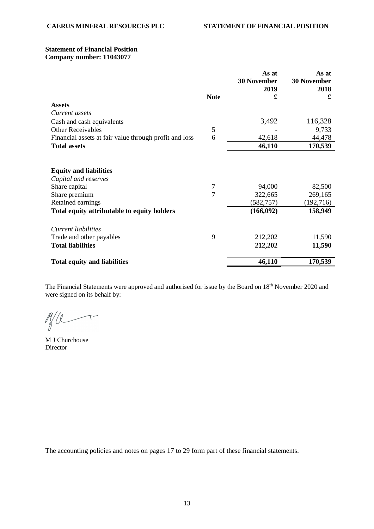### <span id="page-12-0"></span>**Statement of Financial Position Company number: 11043077**

|                                                        |                | As at<br><b>30 November</b><br>2019 | As at<br><b>30 November</b><br>2018 |
|--------------------------------------------------------|----------------|-------------------------------------|-------------------------------------|
|                                                        | <b>Note</b>    | £                                   | £                                   |
| <b>Assets</b>                                          |                |                                     |                                     |
| Current assets                                         |                |                                     |                                     |
| Cash and cash equivalents                              |                | 3,492                               | 116,328                             |
| <b>Other Receivables</b>                               | 5              |                                     | 9,733                               |
| Financial assets at fair value through profit and loss | 6              | 42,618                              | 44,478                              |
| <b>Total assets</b>                                    |                | 46,110                              | 170,539                             |
| <b>Equity and liabilities</b><br>Capital and reserves  |                |                                     |                                     |
| Share capital                                          | $\tau$         | 94,000                              | 82,500                              |
| Share premium                                          | $\overline{7}$ | 322,665                             | 269,165                             |
| Retained earnings                                      |                | (582, 757)                          | (192, 716)                          |
| Total equity attributable to equity holders            |                | (166, 092)                          | 158,949                             |
| <i>Current liabilities</i>                             |                |                                     |                                     |
| Trade and other payables                               | 9              | 212,202                             | 11,590                              |
| <b>Total liabilities</b>                               |                | 212,202                             | 11,590                              |
| <b>Total equity and liabilities</b>                    |                | 46,110                              | 170,539                             |

The Financial Statements were approved and authorised for issue by the Board on 18<sup>th</sup> November 2020 and were signed on its behalf by:

 $M/U \qquad -$ 

M J Churchouse Director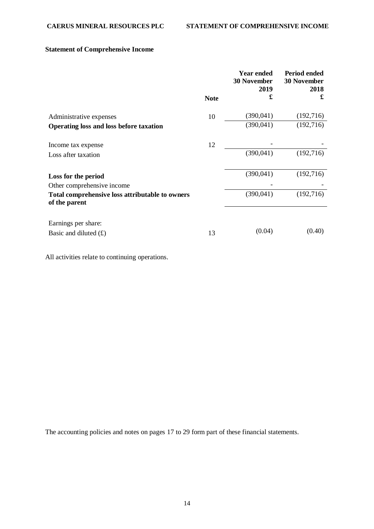# <span id="page-13-0"></span>**Statement of Comprehensive Income**

|                                                                  |             | <b>Year ended</b><br><b>30 November</b><br>2019 | <b>Period ended</b><br><b>30 November</b><br>2018 |
|------------------------------------------------------------------|-------------|-------------------------------------------------|---------------------------------------------------|
|                                                                  | <b>Note</b> | £                                               | £                                                 |
| Administrative expenses                                          | 10          | (390, 041)                                      | (192,716)                                         |
| Operating loss and loss before taxation                          |             | (390, 041)                                      | (192,716)                                         |
| Income tax expense                                               | 12          |                                                 |                                                   |
| Loss after taxation                                              |             | (390,041)                                       | (192,716)                                         |
| Loss for the period                                              |             | (390, 041)                                      | (192,716)                                         |
| Other comprehensive income                                       |             |                                                 |                                                   |
| Total comprehensive loss attributable to owners<br>of the parent |             | (390,041)                                       | (192,716)                                         |
| Earnings per share:                                              |             |                                                 |                                                   |
| Basic and diluted $(E)$                                          | 13          | (0.04)                                          | (0.40)                                            |

All activities relate to continuing operations.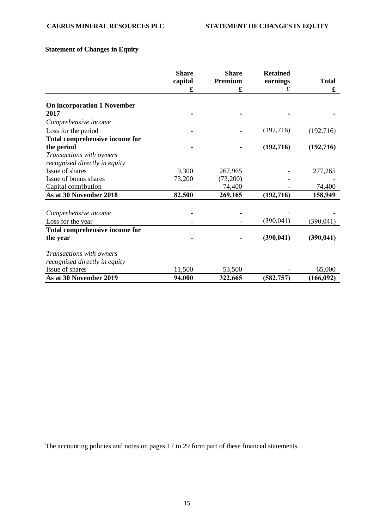# <span id="page-14-0"></span>**Statement of Changes in Equity**

|                                       | <b>Share</b> | <b>Share</b> | <b>Retained</b> |              |
|---------------------------------------|--------------|--------------|-----------------|--------------|
|                                       | capital      | Premium      | earnings        | <b>Total</b> |
|                                       | £            | £            | £               | £            |
| <b>On incorporation 1 November</b>    |              |              |                 |              |
| 2017                                  |              |              |                 |              |
| Comprehensive income                  |              |              |                 |              |
| Loss for the period                   |              |              | (192, 716)      | (192, 716)   |
| <b>Total comprehensive income for</b> |              |              |                 |              |
| the period                            |              |              | (192, 716)      | (192, 716)   |
| <i>Transactions with owners</i>       |              |              |                 |              |
| recognised directly in equity         |              |              |                 |              |
| Issue of shares                       | 9,300        | 267,965      |                 | 277,265      |
| Issue of bonus shares                 | 73,200       | (73,200)     |                 |              |
| Capital contribution                  |              | 74,400       |                 | 74,400       |
| As at 30 November 2018                | 82,500       | 269,165      | (192, 716)      | 158,949      |
|                                       |              |              |                 |              |
| Comprehensive income                  |              |              |                 |              |
| Loss for the year                     |              |              | (390, 041)      | (390, 041)   |
| Total comprehensive income for        |              |              |                 |              |
| the year                              |              |              | (390, 041)      | (390, 041)   |
| <i>Transactions with owners</i>       |              |              |                 |              |
| recognised directly in equity         |              |              |                 |              |
| Issue of shares                       | 11,500       | 53,500       |                 | 65,000       |
| As at 30 November 2019                | 94,000       | 322,665      | (582, 757)      | (166, 092)   |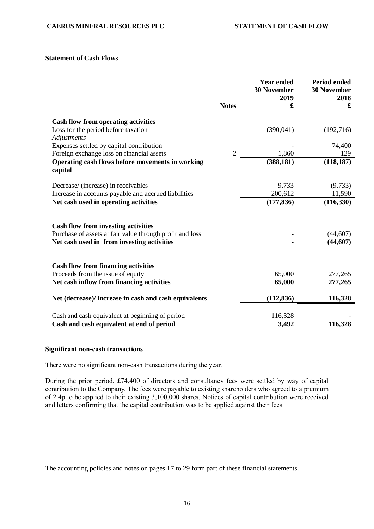#### <span id="page-15-0"></span>**Statement of Cash Flows**

| <b>30 November</b>                                                   | <b>30 November</b>   |
|----------------------------------------------------------------------|----------------------|
| 2019                                                                 | 2018                 |
| £<br><b>Notes</b>                                                    | $\pmb{\mathfrak{L}}$ |
| <b>Cash flow from operating activities</b>                           |                      |
| Loss for the period before taxation<br>(390, 041)                    | (192,716)            |
| Adjustments                                                          |                      |
| Expenses settled by capital contribution                             | 74,400               |
| Foreign exchange loss on financial assets<br>$\overline{2}$<br>1,860 | 129                  |
| (388, 181)<br>Operating cash flows before movements in working       | (118, 187)           |
| capital                                                              |                      |
| 9,733<br>Decrease/ (increase) in receivables                         | (9,733)              |
| Increase in accounts payable and accrued liabilities<br>200,612      | 11,590               |
| Net cash used in operating activities<br>(177, 836)                  | (116, 330)           |
|                                                                      |                      |
| <b>Cash flow from investing activities</b>                           |                      |
| Purchase of assets at fair value through profit and loss             | (44,607)             |
| Net cash used in from investing activities                           | (44, 607)            |
|                                                                      |                      |
| <b>Cash flow from financing activities</b>                           |                      |
| Proceeds from the issue of equity<br>65,000                          | 277,265              |
| Net cash inflow from financing activities<br>65,000                  | 277,265              |
| (112, 836)<br>Net (decrease)/ increase in cash and cash equivalents  | 116,328              |
|                                                                      |                      |
| 116,328<br>Cash and cash equivalent at beginning of period           |                      |
| Cash and cash equivalent at end of period<br>3,492                   | 116,328              |

#### **Significant non-cash transactions**

There were no significant non-cash transactions during the year.

During the prior period, £74,400 of directors and consultancy fees were settled by way of capital contribution to the Company. The fees were payable to existing shareholders who agreed to a premium of 2.4p to be applied to their existing 3,100,000 shares. Notices of capital contribution were received and letters confirming that the capital contribution was to be applied against their fees.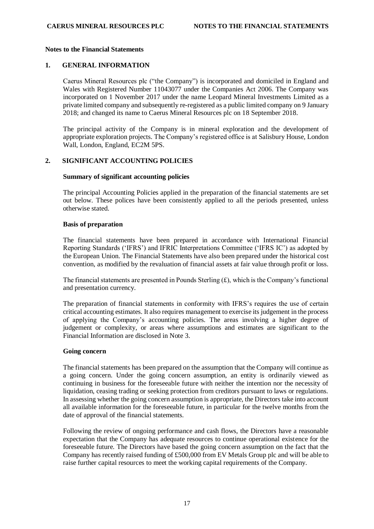#### <span id="page-16-0"></span>**Notes to the Financial Statements**

#### **1. GENERAL INFORMATION**

Caerus Mineral Resources plc ("the Company") is incorporated and domiciled in England and Wales with Registered Number 11043077 under the Companies Act 2006. The Company was incorporated on 1 November 2017 under the name Leopard Mineral Investments Limited as a private limited company and subsequently re-registered as a public limited company on 9 January 2018; and changed its name to Caerus Mineral Resources plc on 18 September 2018.

The principal activity of the Company is in mineral exploration and the development of appropriate exploration projects. The Company's registered office is at Salisbury House, London Wall, London, England, EC2M 5PS.

#### **2. SIGNIFICANT ACCOUNTING POLICIES**

#### **Summary of significant accounting policies**

The principal Accounting Policies applied in the preparation of the financial statements are set out below. These polices have been consistently applied to all the periods presented, unless otherwise stated.

#### **Basis of preparation**

The financial statements have been prepared in accordance with International Financial Reporting Standards ('IFRS') and IFRIC Interpretations Committee ('IFRS IC') as adopted by the European Union. The Financial Statements have also been prepared under the historical cost convention, as modified by the revaluation of financial assets at fair value through profit or loss.

The financial statements are presented in Pounds Sterling  $(f)$ , which is the Company's functional and presentation currency.

The preparation of financial statements in conformity with IFRS's requires the use of certain critical accounting estimates. It also requires management to exercise its judgement in the process of applying the Company's accounting policies. The areas involving a higher degree of judgement or complexity, or areas where assumptions and estimates are significant to the Financial Information are disclosed in Note 3.

#### **Going concern**

The financial statements has been prepared on the assumption that the Company will continue as a going concern. Under the going concern assumption, an entity is ordinarily viewed as continuing in business for the foreseeable future with neither the intention nor the necessity of liquidation, ceasing trading or seeking protection from creditors pursuant to laws or regulations. In assessing whether the going concern assumption is appropriate, the Directors take into account all available information for the foreseeable future, in particular for the twelve months from the date of approval of the financial statements.

Following the review of ongoing performance and cash flows, the Directors have a reasonable expectation that the Company has adequate resources to continue operational existence for the foreseeable future. The Directors have based the going concern assumption on the fact that the Company has recently raised funding of £500,000 from EV Metals Group plc and will be able to raise further capital resources to meet the working capital requirements of the Company.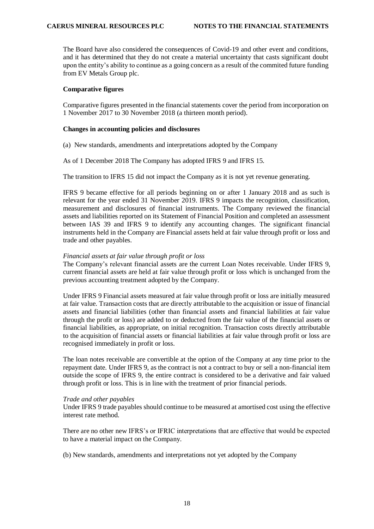The Board have also considered the consequences of Covid-19 and other event and conditions, and it has determined that they do not create a material uncertainty that casts significant doubt upon the entity's ability to continue as a going concern as a result of the commited future funding from EV Metals Group plc.

### **Comparative figures**

Comparative figures presented in the financial statements cover the period from incorporation on 1 November 2017 to 30 November 2018 (a thirteen month period).

#### **Changes in accounting policies and disclosures**

(a) New standards, amendments and interpretations adopted by the Company

As of 1 December 2018 The Company has adopted IFRS 9 and IFRS 15.

The transition to IFRS 15 did not impact the Company as it is not yet revenue generating.

IFRS 9 became effective for all periods beginning on or after 1 January 2018 and as such is relevant for the year ended 31 November 2019. IFRS 9 impacts the recognition, classification, measurement and disclosures of financial instruments. The Company reviewed the financial assets and liabilities reported on its Statement of Financial Position and completed an assessment between IAS 39 and IFRS 9 to identify any accounting changes. The significant financial instruments held in the Company are Financial assets held at fair value through profit or loss and trade and other payables.

#### *Financial assets at fair value through profit or loss*

The Company's relevant financial assets are the current Loan Notes receivable. Under IFRS 9, current financial assets are held at fair value through profit or loss which is unchanged from the previous accounting treatment adopted by the Company.

Under IFRS 9 Financial assets measured at fair value through profit or loss are initially measured at fair value. Transaction costs that are directly attributable to the acquisition or issue of financial assets and financial liabilities (other than financial assets and financial liabilities at fair value through the profit or loss) are added to or deducted from the fair value of the financial assets or financial liabilities, as appropriate, on initial recognition. Transaction costs directly attributable to the acquisition of financial assets or financial liabilities at fair value through profit or loss are recognised immediately in profit or loss.

The loan notes receivable are convertible at the option of the Company at any time prior to the repayment date. Under IFRS 9, as the contract is not a contract to buy or sell a non-financial item outside the scope of IFRS 9, the entire contract is considered to be a derivative and fair valued through profit or loss. This is in line with the treatment of prior financial periods.

#### *Trade and other payables*

Under IFRS 9 trade payables should continue to be measured at amortised cost using the effective interest rate method.

There are no other new IFRS's or IFRIC interpretations that are effective that would be expected to have a material impact on the Company.

(b) New standards, amendments and interpretations not yet adopted by the Company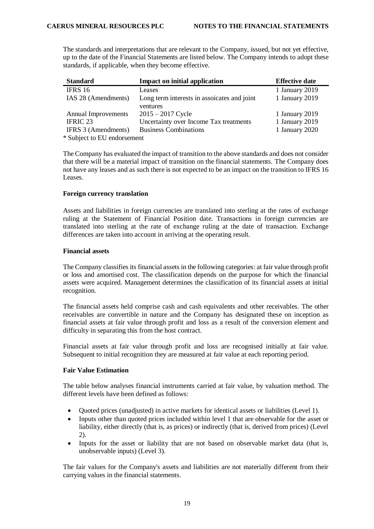The standards and interpretations that are relevant to the Company, issued, but not yet effective, up to the date of the Financial Statements are listed below. The Company intends to adopt these standards, if applicable, when they become effective.

| <b>Standard</b>             | <b>Impact on initial application</b>        | <b>Effective date</b> |
|-----------------------------|---------------------------------------------|-----------------------|
| <b>IFRS 16</b>              | Leases                                      | 1 January 2019        |
| IAS 28 (Amendments)         | Long term interests in assoicates and joint | 1 January 2019        |
| <b>Annual Improvements</b>  | ventures<br>$2015 - 2017$ Cycle             | 1 January 2019        |
| <b>IFRIC 23</b>             | Uncertainty over Income Tax treatments      | 1 January 2019        |
| IFRS 3 (Amendments)         | <b>Business Combinations</b>                | 1 January 2020        |
| * Subject to EU endorsement |                                             |                       |

The Company has evaluated the impact of transition to the above standards and does not consider that there will be a material impact of transition on the financial statements. The Company does not have any leases and as such there is not expected to be an impact on the transition to IFRS 16 Leases.

#### **Foreign currency translation**

Assets and liabilities in foreign currencies are translated into sterling at the rates of exchange ruling at the Statement of Financial Position date. Transactions in foreign currencies are translated into sterling at the rate of exchange ruling at the date of transaction. Exchange differences are taken into account in arriving at the operating result.

#### **Financial assets**

The Company classifies its financial assets in the following categories: at fair value through profit or loss and amortised cost. The classification depends on the purpose for which the financial assets were acquired. Management determines the classification of its financial assets at initial recognition.

The financial assets held comprise cash and cash equivalents and other receivables. The other receivables are convertible in nature and the Company has designated these on inception as financial assets at fair value through profit and loss as a result of the conversion element and difficulty in separating this from the host contract.

Financial assets at fair value through profit and loss are recognised initially at fair value. Subsequent to initial recognition they are measured at fair value at each reporting period.

# **Fair Value Estimation**

The table below analyses financial instruments carried at fair value, by valuation method. The different levels have been defined as follows:

- Quoted prices (unadjusted) in active markets for identical assets or liabilities (Level 1).
- Inputs other than quoted prices included within level 1 that are observable for the asset or liability, either directly (that is, as prices) or indirectly (that is, derived from prices) (Level 2).
- Inputs for the asset or liability that are not based on observable market data (that is, unobservable inputs) (Level 3).

The fair values for the Company's assets and liabilities are not materially different from their carrying values in the financial statements.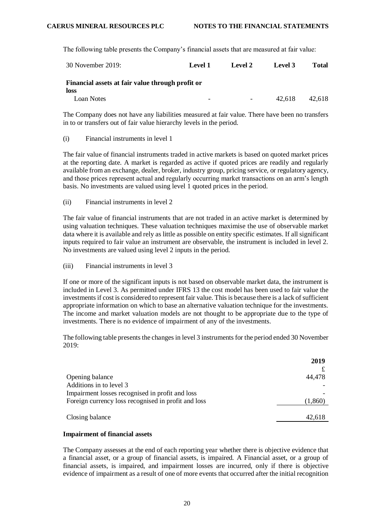The following table presents the Company's financial assets that are measured at fair value:

| 30 November 2019:                                                             | <b>Level 1</b> | Level 2                  | Level 3 | Total  |
|-------------------------------------------------------------------------------|----------------|--------------------------|---------|--------|
| Financial assets at fair value through profit or<br><b>loss</b><br>Loan Notes | -              | $\overline{\phantom{0}}$ | 42.618  | 42.618 |

The Company does not have any liabilities measured at fair value. There have been no transfers in to or transfers out of fair value hierarchy levels in the period.

(i) Financial instruments in level 1

The fair value of financial instruments traded in active markets is based on quoted market prices at the reporting date. A market is regarded as active if quoted prices are readily and regularly available from an exchange, dealer, broker, industry group, pricing service, or regulatory agency, and those prices represent actual and regularly occurring market transactions on an arm's length basis. No investments are valued using level 1 quoted prices in the period.

(ii) Financial instruments in level 2

The fair value of financial instruments that are not traded in an active market is determined by using valuation techniques. These valuation techniques maximise the use of observable market data where it is available and rely as little as possible on entity specific estimates. If all significant inputs required to fair value an instrument are observable, the instrument is included in level 2. No investments are valued using level 2 inputs in the period.

(iii) Financial instruments in level 3

If one or more of the significant inputs is not based on observable market data, the instrument is included in Level 3. As permitted under IFRS 13 the cost model has been used to fair value the investments if cost is considered to represent fair value. This is because there is a lack of sufficient appropriate information on which to base an alternative valuation technique for the investments. The income and market valuation models are not thought to be appropriate due to the type of investments. There is no evidence of impairment of any of the investments.

The following table presents the changes in level 3 instruments for the period ended 30 November 2019:

|                                                     | 2019    |
|-----------------------------------------------------|---------|
|                                                     |         |
| Opening balance                                     | 44,478  |
| Additions in to level 3                             |         |
| Impairment losses recognised in profit and loss     |         |
| Foreign currency loss recognised in profit and loss | (1,860) |
|                                                     |         |
| Closing balance                                     | 42,618  |

#### **Impairment of financial assets**

The Company assesses at the end of each reporting year whether there is objective evidence that a financial asset, or a group of financial assets, is impaired. A Financial asset, or a group of financial assets, is impaired, and impairment losses are incurred, only if there is objective evidence of impairment as a result of one of more events that occurred after the initial recognition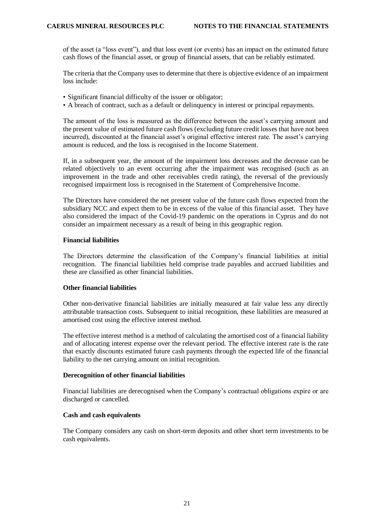of the asset (a "loss event"), and that loss event (or events) has an impact on the estimated future cash flows of the financial asset, or group of financial assets, that can be reliably estimated.

The criteria that the Company uses to determine that there is objective evidence of an impairment loss include:

- Significant financial difficulty of the issuer or obligator;
- A breach of contract, such as a default or delinquency in interest or principal repayments.

The amount of the loss is measured as the difference between the asset's carrying amount and the present value of estimated future cash flows (excluding future credit losses that have not been incurred), discounted at the financial asset's original effective interest rate. The asset's carrying amount is reduced, and the loss is recognised in the Income Statement.

If, in a subsequent year, the amount of the impairment loss decreases and the decrease can be related objectively to an event occurring after the impairment was recognised (such as an improvement in the trade and other receivables credit rating), the reversal of the previously recognised impairment loss is recognised in the Statement of Comprehensive Income.

The Directors have considered the net present value of the future cash flows expected from the subsidiary NCC and expect them to be in excess of the value of this financial asset. They have also considered the impact of the Covid-19 pandemic on the operations in Cyprus and do not consider an impairment necessary as a result of being in this geographic region.

#### **Financial liabilities**

The Directors determine the classification of the Company's financial liabilities at initial recognition. The financial liabilities held comprise trade payables and accrued liabilities and these are classified as other financial liabilities.

#### **Other financial liabilities**

Other non-derivative financial liabilities are initially measured at fair value less any directly attributable transaction costs. Subsequent to initial recognition, these liabilities are measured at amortised cost using the effective interest method.

The effective interest method is a method of calculating the amortised cost of a financial liability and of allocating interest expense over the relevant period. The effective interest rate is the rate that exactly discounts estimated future cash payments through the expected life of the financial liability to the net carrying amount on initial recognition.

#### **Derecognition of other financial liabilities**

Financial liabilities are derecognised when the Company's contractual obligations expire or are discharged or cancelled.

#### **Cash and cash equivalents**

The Company considers any cash on short-term deposits and other short term investments to be cash equivalents.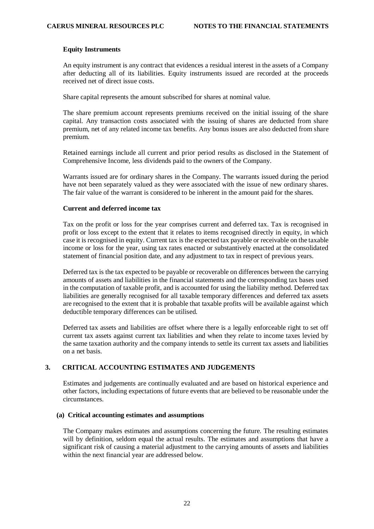#### **Equity Instruments**

An equity instrument is any contract that evidences a residual interest in the assets of a Company after deducting all of its liabilities. Equity instruments issued are recorded at the proceeds received net of direct issue costs.

Share capital represents the amount subscribed for shares at nominal value.

The share premium account represents premiums received on the initial issuing of the share capital. Any transaction costs associated with the issuing of shares are deducted from share premium, net of any related income tax benefits. Any bonus issues are also deducted from share premium.

Retained earnings include all current and prior period results as disclosed in the Statement of Comprehensive Income, less dividends paid to the owners of the Company.

Warrants issued are for ordinary shares in the Company. The warrants issued during the period have not been separately valued as they were associated with the issue of new ordinary shares. The fair value of the warrant is considered to be inherent in the amount paid for the shares.

#### **Current and deferred income tax**

Tax on the profit or loss for the year comprises current and deferred tax. Tax is recognised in profit or loss except to the extent that it relates to items recognised directly in equity, in which case it is recognised in equity. Current tax is the expected tax payable or receivable on the taxable income or loss for the year, using tax rates enacted or substantively enacted at the consolidated statement of financial position date, and any adjustment to tax in respect of previous years.

Deferred tax is the tax expected to be payable or recoverable on differences between the carrying amounts of assets and liabilities in the financial statements and the corresponding tax bases used in the computation of taxable profit, and is accounted for using the liability method. Deferred tax liabilities are generally recognised for all taxable temporary differences and deferred tax assets are recognised to the extent that it is probable that taxable profits will be available against which deductible temporary differences can be utilised.

Deferred tax assets and liabilities are offset where there is a legally enforceable right to set off current tax assets against current tax liabilities and when they relate to income taxes levied by the same taxation authority and the company intends to settle its current tax assets and liabilities on a net basis.

### **3. CRITICAL ACCOUNTING ESTIMATES AND JUDGEMENTS**

Estimates and judgements are continually evaluated and are based on historical experience and other factors, including expectations of future events that are believed to be reasonable under the circumstances.

#### **(a) Critical accounting estimates and assumptions**

The Company makes estimates and assumptions concerning the future. The resulting estimates will by definition, seldom equal the actual results. The estimates and assumptions that have a significant risk of causing a material adjustment to the carrying amounts of assets and liabilities within the next financial year are addressed below.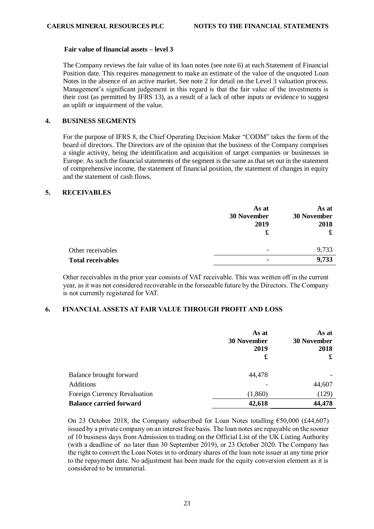#### **Fair value of financial assets – level 3**

The Company reviews the fair value of its loan notes (see note 6) at each Statement of Financial Position date. This requires management to make an estimate of the value of the unquoted Loan Notes in the absence of an active market. See note 2 for detail on the Level 3 valuation process. Management's significant judgement in this regard is that the fair value of the investments is their cost (as permitted by IFRS 13), as a result of a lack of other inputs or evidence to suggest an uplift or impairment of the value.

#### **4. BUSINESS SEGMENTS**

For the purpose of IFRS 8, the Chief Operating Decision Maker "CODM" takes the form of the board of directors. The Directors are of the opinion that the business of the Company comprises a single activity, being the identification and acquisition of target companies or businesses in Europe. As such the financial statements of the segment is the same as that set out in the statement of comprehensive income, the statement of financial position, the statement of changes in equity and the statement of cash flows.

#### **5. RECEIVABLES**

|                          | As at<br><b>30 November</b><br>2019<br>£ | As at<br><b>30 November</b><br>2018<br>£ |
|--------------------------|------------------------------------------|------------------------------------------|
| Other receivables        | $\overline{\phantom{0}}$                 | 9,733                                    |
| <b>Total receivables</b> | ۰                                        | 9,733                                    |

Other receivables in the prior year consists of VAT receivable. This was written off in the current year, as it was not considered recoverable in the forseeable future by the Directors. The Company is not currently registered for VAT.

#### **6. FINANCIAL ASSETS AT FAIR VALUE THROUGH PROFIT AND LOSS**

|                                     | As at<br><b>30 November</b><br>2019<br>£ | As at<br><b>30 November</b><br>2018<br>£ |
|-------------------------------------|------------------------------------------|------------------------------------------|
| Balance brought forward             | 44,478                                   |                                          |
| <b>Additions</b>                    |                                          | 44,607                                   |
| <b>Foreign Currency Revaluation</b> | (1,860)                                  | (129)                                    |
| <b>Balance carried forward</b>      | 42,618                                   | 44,478                                   |

On 23 October 2018, the Company subscribed for Loan Notes totalling €50,000 (£44,607) issued by a private company on an interest free basis. The loan notes are repayable on the sooner of 10 business days from Admission to trading on the Official List of the UK Listing Authority (with a deadline of no later than 30 September 2019), or 23 October 2020. The Company has the right to convert the Loan Notes in to ordinary shares of the loan note issuer at any time prior to the repayment date. No adjustment has been made for the equity conversion element as it is considered to be immaterial.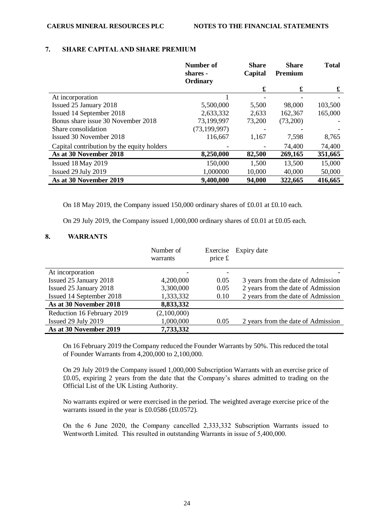### **7. SHARE CAPITALAND SHARE PREMIUM**

|                                            | Number of<br>shares -<br>Ordinary | <b>Share</b><br>Capital | <b>Share</b><br>Premium | <b>Total</b> |
|--------------------------------------------|-----------------------------------|-------------------------|-------------------------|--------------|
|                                            |                                   | £                       | £                       | £            |
| At incorporation                           |                                   |                         |                         |              |
| Issued 25 January 2018                     | 5,500,000                         | 5,500                   | 98,000                  | 103,500      |
| Issued 14 September 2018                   | 2,633,332                         | 2,633                   | 162,367                 | 165,000      |
| Bonus share issue 30 November 2018         | 73,199,997                        | 73,200                  | (73,200)                |              |
| Share consolidation                        | (73, 199, 997)                    |                         |                         |              |
| Issued 30 November 2018                    | 116,667                           | 1,167                   | 7,598                   | 8,765        |
| Capital contribution by the equity holders |                                   |                         | 74,400                  | 74,400       |
| As at 30 November 2018                     | 8,250,000                         | 82,500                  | 269,165                 | 351,665      |
| Issued 18 May 2019                         | 150,000                           | 1,500                   | 13,500                  | 15,000       |
| Issued 29 July 2019                        | 1,000000                          | 10,000                  | 40,000                  | 50,000       |
| As at 30 November 2019                     | 9,400,000                         | 94,000                  | 322,665                 | 416,665      |

On 18 May 2019, the Company issued 150,000 ordinary shares of £0.01 at £0.10 each.

On 29 July 2019, the Company issued 1,000,000 ordinary shares of £0.01 at £0.05 each.

#### **8. WARRANTS**

|                            | Number of<br>warrants | Exercise<br>price £ | Expiry date                        |
|----------------------------|-----------------------|---------------------|------------------------------------|
| At incorporation           |                       |                     |                                    |
| Issued 25 January 2018     | 4,200,000             | 0.05                | 3 years from the date of Admission |
| Issued 25 January 2018     | 3,300,000             | 0.05                | 2 years from the date of Admission |
| Issued 14 September 2018   | 1,333,332             | 0.10                | 2 years from the date of Admission |
| As at 30 November 2018     | 8,833,332             |                     |                                    |
| Reduction 16 February 2019 | (2,100,000)           |                     |                                    |
| Issued 29 July 2019        | 1,000,000             | 0.05                | 2 years from the date of Admission |
| As at 30 November 2019     | 7,733,332             |                     |                                    |

On 16 February 2019 the Company reduced the Founder Warrants by 50%. This reduced the total of Founder Warrants from 4,200,000 to 2,100,000.

On 29 July 2019 the Company issued 1,000,000 Subscription Warrants with an exercise price of £0.05, expiring 2 years from the date that the Company's shares admitted to trading on the Official List of the UK Listing Authority.

No warrants expired or were exercised in the period. The weighted average exercise price of the warrants issued in the year is £0.0586 (£0.0572).

On the 6 June 2020, the Company cancelled 2,333,332 Subscription Warrants issued to Wentworth Limited. This resulted in outstanding Warrants in issue of 5,400,000.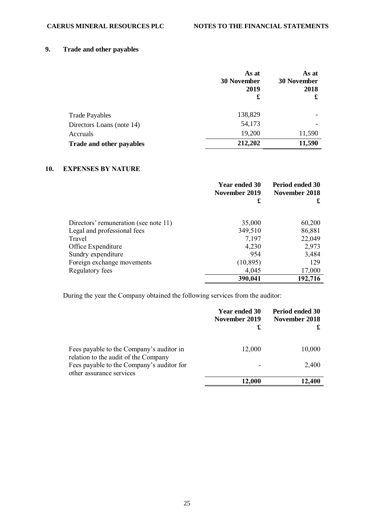# **9. Trade and other payables**

|                                 | As at<br><b>30 November</b><br>2019<br>£ | As at<br><b>30 November</b><br>2018<br>£ |
|---------------------------------|------------------------------------------|------------------------------------------|
| <b>Trade Payables</b>           | 138,829                                  |                                          |
| Directors Loans (note 14)       | 54,173                                   |                                          |
| Accruals                        | 19,200                                   | 11,590                                   |
| <b>Trade and other payables</b> | 212,202                                  | 11,590                                   |

# **10. EXPENSES BY NATURE**

|                                       | Year ended 30<br>November 2019<br>£ | Period ended 30<br>November 2018<br>£ |
|---------------------------------------|-------------------------------------|---------------------------------------|
| Directors' remuneration (see note 11) | 35,000                              | 60,200                                |
| Legal and professional fees           | 349,510                             | 86,881                                |
| Travel                                | 7,197                               | 22,049                                |
| Office Expenditure                    | 4,230                               | 2,973                                 |
| Sundry expenditure                    | 954                                 | 3,484                                 |
| Foreign exchange movements            | (10, 895)                           | 129                                   |
| Regulatory fees                       | 4,045                               | 17,000                                |
|                                       | 390,041                             | 192,716                               |

During the year the Company obtained the following services from the auditor:

|                                                                                  | <b>Year ended 30</b><br>November 2019<br>£ | <b>Period ended 30</b><br>November 2018 |
|----------------------------------------------------------------------------------|--------------------------------------------|-----------------------------------------|
| Fees payable to the Company's auditor in<br>relation to the audit of the Company | 12,000                                     | 10,000                                  |
| Fees payable to the Company's auditor for<br>other assurance services            |                                            | 2,400                                   |
|                                                                                  | 12.000                                     | 12.400                                  |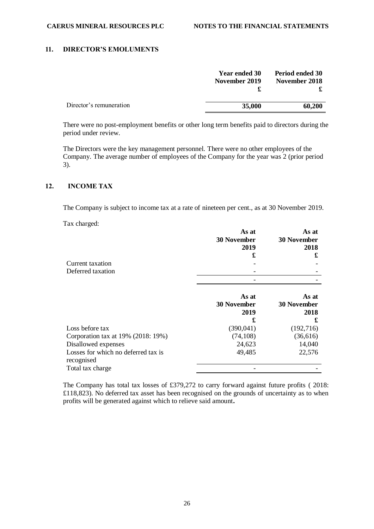#### **11. DIRECTOR'S EMOLUMENTS**

|                         | Year ended 30<br>November 2019 | Period ended 30<br>November 2018 |
|-------------------------|--------------------------------|----------------------------------|
| Director's remuneration | 35,000                         | 60,200                           |

There were no post-employment benefits or other long term benefits paid to directors during the period under review.

The Directors were the key management personnel. There were no other employees of the Company. The average number of employees of the Company for the year was 2 (prior period 3).

## **12. INCOME TAX**

The Company is subject to income tax at a rate of nineteen per cent., as at 30 November 2019.

Tax charged:

|                                                   | As at<br><b>30 November</b><br>2019<br>£ | As at<br><b>30 November</b><br>2018<br>£ |
|---------------------------------------------------|------------------------------------------|------------------------------------------|
| Current taxation                                  |                                          |                                          |
| Deferred taxation                                 |                                          |                                          |
|                                                   |                                          |                                          |
|                                                   | As at                                    | As at                                    |
|                                                   | <b>30 November</b>                       | <b>30 November</b>                       |
|                                                   | 2019                                     | 2018                                     |
|                                                   | £                                        | £                                        |
| Loss before tax                                   | (390, 041)                               | (192,716)                                |
| Corporation tax at 19% (2018: 19%)                | (74, 108)                                | (36,616)                                 |
| Disallowed expenses                               | 24,623                                   | 14,040                                   |
| Losses for which no deferred tax is<br>recognised | 49,485                                   | 22,576                                   |
| Total tax charge                                  |                                          |                                          |
|                                                   |                                          |                                          |

The Company has total tax losses of £379,272 to carry forward against future profits ( 2018: £118,823). No deferred tax asset has been recognised on the grounds of uncertainty as to when profits will be generated against which to relieve said amount**.**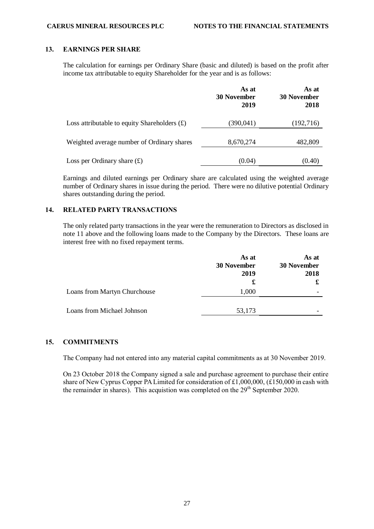#### **13. EARNINGS PER SHARE**

The calculation for earnings per Ordinary Share (basic and diluted) is based on the profit after income tax attributable to equity Shareholder for the year and is as follows:

|                                                         | As at<br><b>30 November</b><br>2019 | As at<br><b>30 November</b><br>2018 |
|---------------------------------------------------------|-------------------------------------|-------------------------------------|
| Loss attributable to equity Shareholders $(\texttt{f})$ | (390, 041)                          | (192,716)                           |
| Weighted average number of Ordinary shares              | 8,670,274                           | 482,809                             |
| Loss per Ordinary share $(f)$                           | (0.04)                              | (0.40)                              |

Earnings and diluted earnings per Ordinary share are calculated using the weighted average number of Ordinary shares in issue during the period. There were no dilutive potential Ordinary shares outstanding during the period.

#### **14. RELATED PARTY TRANSACTIONS**

The only related party transactions in the year were the remuneration to Directors as disclosed in note 11 above and the following loans made to the Company by the Directors. These loans are interest free with no fixed repayment terms.

|                              | As at<br><b>30 November</b><br>2019<br>£ | As at<br><b>30 November</b><br>2018<br>£ |
|------------------------------|------------------------------------------|------------------------------------------|
| Loans from Martyn Churchouse | 1,000                                    |                                          |
| Loans from Michael Johnson   | 53,173                                   |                                          |

#### **15. COMMITMENTS**

The Company had not entered into any material capital commitments as at 30 November 2019.

On 23 October 2018 the Company signed a sale and purchase agreement to purchase their entire share of New Cyprus Copper PA Limited for consideration of £1,000,000, (£150,000 in cash with the remainder in shares). This acquistion was completed on the 29<sup>th</sup> September 2020.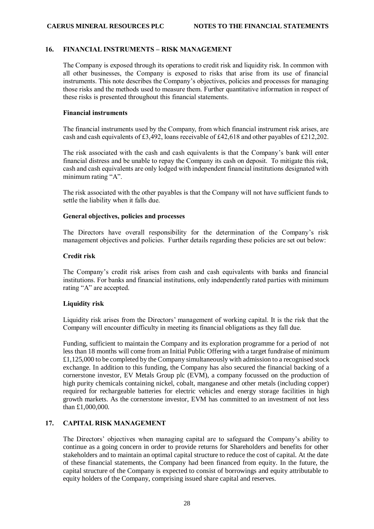#### **16. FINANCIAL INSTRUMENTS – RISK MANAGEMENT**

The Company is exposed through its operations to credit risk and liquidity risk. In common with all other businesses, the Company is exposed to risks that arise from its use of financial instruments. This note describes the Company's objectives, policies and processes for managing those risks and the methods used to measure them. Further quantitative information in respect of these risks is presented throughout this financial statements.

#### **Financial instruments**

The financial instruments used by the Company, from which financial instrument risk arises, are cash and cash equivalents of £3,492, loans receivable of £42,618 and other payables of £212,202.

The risk associated with the cash and cash equivalents is that the Company's bank will enter financial distress and be unable to repay the Company its cash on deposit. To mitigate this risk, cash and cash equivalents are only lodged with independent financial institutions designated with minimum rating "A".

The risk associated with the other payables is that the Company will not have sufficient funds to settle the liability when it falls due.

#### **General objectives, policies and processes**

The Directors have overall responsibility for the determination of the Company's risk management objectives and policies. Further details regarding these policies are set out below:

#### **Credit risk**

The Company's credit risk arises from cash and cash equivalents with banks and financial institutions. For banks and financial institutions, only independently rated parties with minimum rating "A" are accepted.

#### **Liquidity risk**

Liquidity risk arises from the Directors' management of working capital. It is the risk that the Company will encounter difficulty in meeting its financial obligations as they fall due.

Funding, sufficient to maintain the Company and its exploration programme for a period of not less than 18 months will come from an Initial Public Offering with a target fundraise of minimum  $£1,125,000$  to be completed by the Company simultaneously with admission to a recognised stock exchange. In addition to this funding, the Company has also secured the financial backing of a cornerstone investor, EV Metals Group plc (EVM), a company focussed on the production of high purity chemicals containing nickel, cobalt, manganese and other metals (including copper) required for rechargeable batteries for electric vehicles and energy storage facilities in high growth markets. As the cornerstone investor, EVM has committed to an investment of not less than £1,000,000.

#### **17. CAPITAL RISK MANAGEMENT**

The Directors' objectives when managing capital are to safeguard the Company's ability to continue as a going concern in order to provide returns for Shareholders and benefits for other stakeholders and to maintain an optimal capital structure to reduce the cost of capital. At the date of these financial statements, the Company had been financed from equity. In the future, the capital structure of the Company is expected to consist of borrowings and equity attributable to equity holders of the Company, comprising issued share capital and reserves.